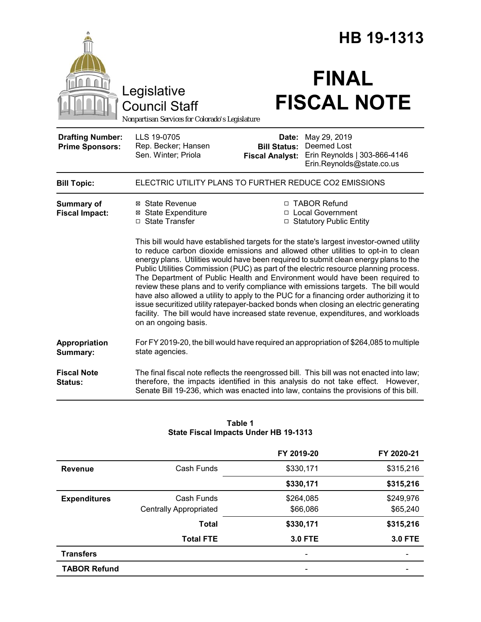|                                                   |                                                                                                                                                                                                                                                                                                                                                                                                                                                                                                                                                                                                                                                                                                                                                                                                                                    |                                                                   | HB 19-1313                                                                                                                                                                                                                                                           |  |  |
|---------------------------------------------------|------------------------------------------------------------------------------------------------------------------------------------------------------------------------------------------------------------------------------------------------------------------------------------------------------------------------------------------------------------------------------------------------------------------------------------------------------------------------------------------------------------------------------------------------------------------------------------------------------------------------------------------------------------------------------------------------------------------------------------------------------------------------------------------------------------------------------------|-------------------------------------------------------------------|----------------------------------------------------------------------------------------------------------------------------------------------------------------------------------------------------------------------------------------------------------------------|--|--|
|                                                   | Legislative<br><b>Council Staff</b><br>Nonpartisan Services for Colorado's Legislature                                                                                                                                                                                                                                                                                                                                                                                                                                                                                                                                                                                                                                                                                                                                             |                                                                   | <b>FINAL</b><br><b>FISCAL NOTE</b>                                                                                                                                                                                                                                   |  |  |
| <b>Drafting Number:</b><br><b>Prime Sponsors:</b> | LLS 19-0705<br>Rep. Becker; Hansen<br>Sen. Winter; Priola                                                                                                                                                                                                                                                                                                                                                                                                                                                                                                                                                                                                                                                                                                                                                                          | Date:<br><b>Bill Status:</b><br><b>Fiscal Analyst:</b>            | May 29, 2019<br>Deemed Lost<br>Erin Reynolds   303-866-4146<br>Erin.Reynolds@state.co.us                                                                                                                                                                             |  |  |
| <b>Bill Topic:</b>                                | ELECTRIC UTILITY PLANS TO FURTHER REDUCE CO2 EMISSIONS                                                                                                                                                                                                                                                                                                                                                                                                                                                                                                                                                                                                                                                                                                                                                                             |                                                                   |                                                                                                                                                                                                                                                                      |  |  |
| <b>Summary of</b><br><b>Fiscal Impact:</b>        | ⊠ State Revenue<br><b>⊠</b> State Expenditure<br>□ State Transfer                                                                                                                                                                                                                                                                                                                                                                                                                                                                                                                                                                                                                                                                                                                                                                  | □ TABOR Refund<br>□ Local Government<br>□ Statutory Public Entity |                                                                                                                                                                                                                                                                      |  |  |
|                                                   | This bill would have established targets for the state's largest investor-owned utility<br>to reduce carbon dioxide emissions and allowed other utilities to opt-in to clean<br>energy plans. Utilities would have been required to submit clean energy plans to the<br>Public Utilities Commission (PUC) as part of the electric resource planning process.<br>The Department of Public Health and Environment would have been required to<br>review these plans and to verify compliance with emissions targets. The bill would<br>have also allowed a utility to apply to the PUC for a financing order authorizing it to<br>issue securitized utility ratepayer-backed bonds when closing an electric generating<br>facility. The bill would have increased state revenue, expenditures, and workloads<br>on an ongoing basis. |                                                                   |                                                                                                                                                                                                                                                                      |  |  |
| Appropriation<br>Summary:                         | state agencies.                                                                                                                                                                                                                                                                                                                                                                                                                                                                                                                                                                                                                                                                                                                                                                                                                    |                                                                   | For FY 2019-20, the bill would have required an appropriation of \$264,085 to multiple                                                                                                                                                                               |  |  |
| <b>Fiscal Note</b><br><b>Status:</b>              |                                                                                                                                                                                                                                                                                                                                                                                                                                                                                                                                                                                                                                                                                                                                                                                                                                    |                                                                   | The final fiscal note reflects the reengrossed bill. This bill was not enacted into law;<br>therefore, the impacts identified in this analysis do not take effect. However,<br>Senate Bill 19-236, which was enacted into law, contains the provisions of this bill. |  |  |

### **Table 1 State Fiscal Impacts Under HB 19-1313**

|                     |                               | FY 2019-20               | FY 2020-21     |
|---------------------|-------------------------------|--------------------------|----------------|
| <b>Revenue</b>      | Cash Funds                    | \$330,171                | \$315,216      |
|                     |                               | \$330,171                | \$315,216      |
| <b>Expenditures</b> | Cash Funds                    | \$264,085                | \$249,976      |
|                     | <b>Centrally Appropriated</b> | \$66,086                 | \$65,240       |
|                     | <b>Total</b>                  | \$330,171                | \$315,216      |
|                     | <b>Total FTE</b>              | <b>3.0 FTE</b>           | <b>3.0 FTE</b> |
| <b>Transfers</b>    |                               | $\overline{\phantom{a}}$ |                |
| <b>TABOR Refund</b> |                               |                          |                |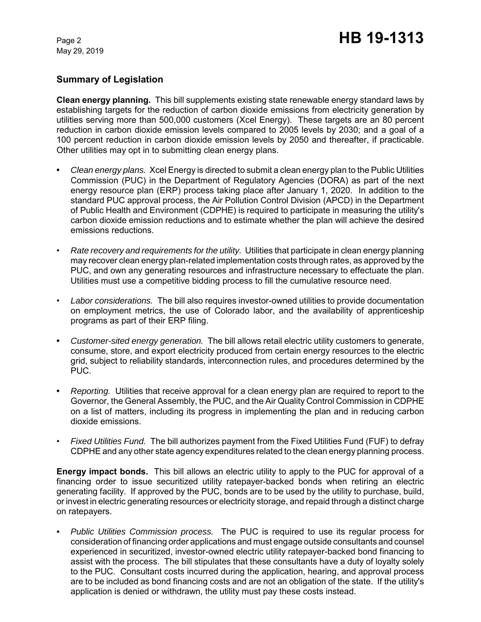## **Summary of Legislation**

**Clean energy planning.** This bill supplements existing state renewable energy standard laws by establishing targets for the reduction of carbon dioxide emissions from electricity generation by utilities serving more than 500,000 customers (Xcel Energy). These targets are an 80 percent reduction in carbon dioxide emission levels compared to 2005 levels by 2030; and a goal of a 100 percent reduction in carbon dioxide emission levels by 2050 and thereafter, if practicable. Other utilities may opt in to submitting clean energy plans.

- **•** *Clean energy plans.* Xcel Energy is directed to submit a clean energy plan to the Public Utilities Commission (PUC) in the Department of Regulatory Agencies (DORA) as part of the next energy resource plan (ERP) process taking place after January 1, 2020. In addition to the standard PUC approval process, the Air Pollution Control Division (APCD) in the Department of Public Health and Environment (CDPHE) is required to participate in measuring the utility's carbon dioxide emission reductions and to estimate whether the plan will achieve the desired emissions reductions.
- *Rate recovery and requirements for the utility.*Utilities that participate in clean energy planning may recover clean energy plan-related implementation costs through rates, as approved by the PUC, and own any generating resources and infrastructure necessary to effectuate the plan. Utilities must use a competitive bidding process to fill the cumulative resource need.
- *Labor considerations.* The bill also requires investor-owned utilities to provide documentation on employment metrics, the use of Colorado labor, and the availability of apprenticeship programs as part of their ERP filing.
- **•** *Customer-sited energy generation.* The bill allows retail electric utility customers to generate, consume, store, and export electricity produced from certain energy resources to the electric grid, subject to reliability standards, interconnection rules, and procedures determined by the PUC.
- **•** *Reporting.* Utilities that receive approval for a clean energy plan are required to report to the Governor, the General Assembly, the PUC, and the Air Quality Control Commission in CDPHE on a list of matters, including its progress in implementing the plan and in reducing carbon dioxide emissions.
- *Fixed Utilities Fund.* The bill authorizes payment from the Fixed Utilities Fund (FUF) to defray CDPHE and any other state agency expenditures related to the clean energy planning process.

**Energy impact bonds.** This bill allows an electric utility to apply to the PUC for approval of a financing order to issue securitized utility ratepayer-backed bonds when retiring an electric generating facility. If approved by the PUC, bonds are to be used by the utility to purchase, build, or invest in electric generating resources or electricity storage, and repaid through a distinct charge on ratepayers.

*• Public Utilities Commission process.* The PUC is required to use its regular process for consideration of financing order applications and must engage outside consultants and counsel experienced in securitized, investor-owned electric utility ratepayer-backed bond financing to assist with the process. The bill stipulates that these consultants have a duty of loyalty solely to the PUC. Consultant costs incurred during the application, hearing, and approval process are to be included as bond financing costs and are not an obligation of the state. If the utility's application is denied or withdrawn, the utility must pay these costs instead.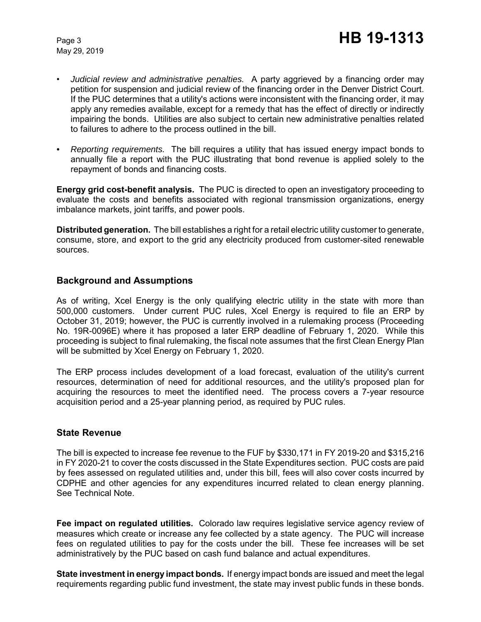- *Judicial review and administrative penalties.* A party aggrieved by a financing order may petition for suspension and judicial review of the financing order in the Denver District Court. If the PUC determines that a utility's actions were inconsistent with the financing order, it may apply any remedies available, except for a remedy that has the effect of directly or indirectly impairing the bonds. Utilities are also subject to certain new administrative penalties related to failures to adhere to the process outlined in the bill.
- *• Reporting requirements.* The bill requires a utility that has issued energy impact bonds to annually file a report with the PUC illustrating that bond revenue is applied solely to the repayment of bonds and financing costs.

**Energy grid cost-benefit analysis.** The PUC is directed to open an investigatory proceeding to evaluate the costs and benefits associated with regional transmission organizations, energy imbalance markets, joint tariffs, and power pools.

**Distributed generation.** The bill establishes a right for a retail electric utility customer to generate, consume, store, and export to the grid any electricity produced from customer-sited renewable sources.

### **Background and Assumptions**

As of writing, Xcel Energy is the only qualifying electric utility in the state with more than 500,000 customers. Under current PUC rules, Xcel Energy is required to file an ERP by October 31, 2019; however, the PUC is currently involved in a rulemaking process (Proceeding No. 19R-0096E) where it has proposed a later ERP deadline of February 1, 2020. While this proceeding is subject to final rulemaking, the fiscal note assumes that the first Clean Energy Plan will be submitted by Xcel Energy on February 1, 2020.

The ERP process includes development of a load forecast, evaluation of the utility's current resources, determination of need for additional resources, and the utility's proposed plan for acquiring the resources to meet the identified need. The process covers a 7-year resource acquisition period and a 25-year planning period, as required by PUC rules.

### **State Revenue**

The bill is expected to increase fee revenue to the FUF by \$330,171 in FY 2019-20 and \$315,216 in FY 2020-21 to cover the costs discussed in the State Expenditures section. PUC costs are paid by fees assessed on regulated utilities and, under this bill, fees will also cover costs incurred by CDPHE and other agencies for any expenditures incurred related to clean energy planning. See Technical Note.

**Fee impact on regulated utilities.** Colorado law requires legislative service agency review of measures which create or increase any fee collected by a state agency. The PUC will increase fees on regulated utilities to pay for the costs under the bill. These fee increases will be set administratively by the PUC based on cash fund balance and actual expenditures.

**State investment in energy impact bonds.** If energy impact bonds are issued and meet the legal requirements regarding public fund investment, the state may invest public funds in these bonds.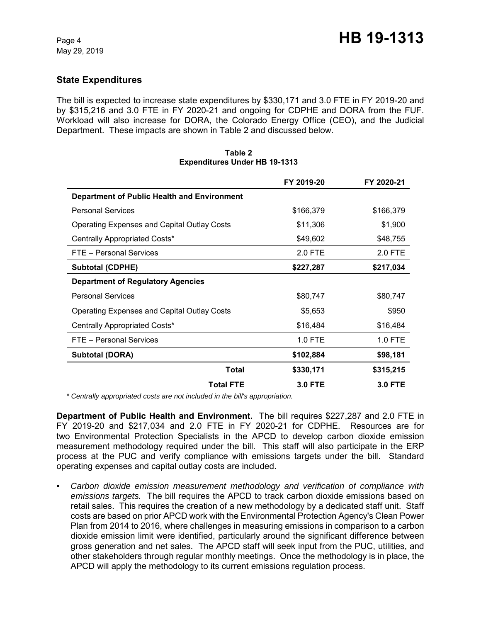## **State Expenditures**

The bill is expected to increase state expenditures by \$330,171 and 3.0 FTE in FY 2019-20 and by \$315,216 and 3.0 FTE in FY 2020-21 and ongoing for CDPHE and DORA from the FUF. Workload will also increase for DORA, the Colorado Energy Office (CEO), and the Judicial Department. These impacts are shown in Table 2 and discussed below.

|                                                    | FY 2019-20     | FY 2020-21     |
|----------------------------------------------------|----------------|----------------|
| Department of Public Health and Environment        |                |                |
| <b>Personal Services</b>                           | \$166,379      | \$166,379      |
| <b>Operating Expenses and Capital Outlay Costs</b> | \$11,306       | \$1,900        |
| Centrally Appropriated Costs*                      | \$49,602       | \$48,755       |
| FTE - Personal Services                            | 2.0 FTE        | 2.0 FTE        |
| <b>Subtotal (CDPHE)</b>                            | \$227,287      | \$217,034      |
| <b>Department of Regulatory Agencies</b>           |                |                |
| <b>Personal Services</b>                           | \$80,747       | \$80,747       |
| Operating Expenses and Capital Outlay Costs        | \$5,653        | \$950          |
| Centrally Appropriated Costs*                      | \$16,484       | \$16,484       |
| FTE - Personal Services                            | 1.0 FTE        | 1.0 FTE        |
| <b>Subtotal (DORA)</b>                             | \$102,884      | \$98,181       |
| Total                                              | \$330,171      | \$315,215      |
| <b>Total FTE</b>                                   | <b>3.0 FTE</b> | <b>3.0 FTE</b> |

#### **Table 2 Expenditures Under HB 19-1313**

 *\* Centrally appropriated costs are not included in the bill's appropriation.*

**Department of Public Health and Environment.** The bill requires \$227,287 and 2.0 FTE in FY 2019-20 and \$217,034 and 2.0 FTE in FY 2020-21 for CDPHE. Resources are for two Environmental Protection Specialists in the APCD to develop carbon dioxide emission measurement methodology required under the bill. This staff will also participate in the ERP process at the PUC and verify compliance with emissions targets under the bill. Standard operating expenses and capital outlay costs are included.

*• Carbon dioxide emission measurement methodology and verification of compliance with emissions targets.* The bill requires the APCD to track carbon dioxide emissions based on retail sales. This requires the creation of a new methodology by a dedicated staff unit. Staff costs are based on prior APCD work with the Environmental Protection Agency's Clean Power Plan from 2014 to 2016, where challenges in measuring emissions in comparison to a carbon dioxide emission limit were identified, particularly around the significant difference between gross generation and net sales. The APCD staff will seek input from the PUC, utilities, and other stakeholders through regular monthly meetings. Once the methodology is in place, the APCD will apply the methodology to its current emissions regulation process.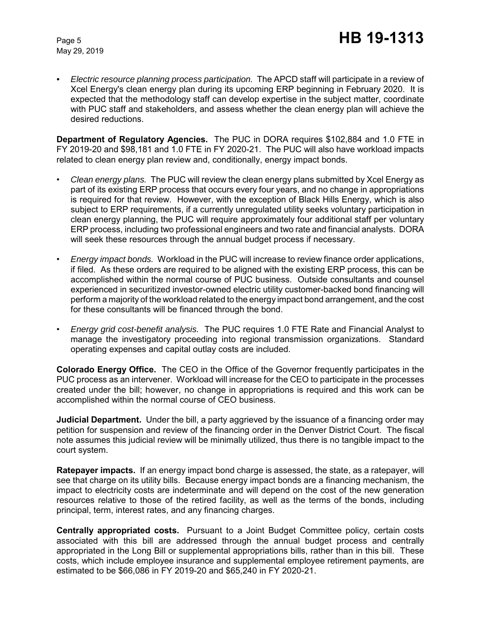*• Electric resource planning process participation.* The APCD staff will participate in a review of Xcel Energy's clean energy plan during its upcoming ERP beginning in February 2020. It is expected that the methodology staff can develop expertise in the subject matter, coordinate with PUC staff and stakeholders, and assess whether the clean energy plan will achieve the desired reductions.

**Department of Regulatory Agencies.** The PUC in DORA requires \$102,884 and 1.0 FTE in FY 2019-20 and \$98,181 and 1.0 FTE in FY 2020-21. The PUC will also have workload impacts related to clean energy plan review and, conditionally, energy impact bonds.

- *Clean energy plans.* The PUC will review the clean energy plans submitted by Xcel Energy as part of its existing ERP process that occurs every four years, and no change in appropriations is required for that review. However, with the exception of Black Hills Energy, which is also subject to ERP requirements, if a currently unregulated utility seeks voluntary participation in clean energy planning, the PUC will require approximately four additional staff per voluntary ERP process, including two professional engineers and two rate and financial analysts. DORA will seek these resources through the annual budget process if necessary.
- *Energy impact bonds.* Workload in the PUC will increase to review finance order applications, if filed. As these orders are required to be aligned with the existing ERP process, this can be accomplished within the normal course of PUC business. Outside consultants and counsel experienced in securitized investor-owned electric utility customer-backed bond financing will perform a majority of the workload related to the energy impact bond arrangement, and the cost for these consultants will be financed through the bond.
- *Energy grid cost-benefit analysis.* The PUC requires 1.0 FTE Rate and Financial Analyst to manage the investigatory proceeding into regional transmission organizations. Standard operating expenses and capital outlay costs are included.

**Colorado Energy Office.** The CEO in the Office of the Governor frequently participates in the PUC process as an intervener. Workload will increase for the CEO to participate in the processes created under the bill; however, no change in appropriations is required and this work can be accomplished within the normal course of CEO business.

**Judicial Department.** Under the bill, a party aggrieved by the issuance of a financing order may petition for suspension and review of the financing order in the Denver District Court. The fiscal note assumes this judicial review will be minimally utilized, thus there is no tangible impact to the court system.

**Ratepayer impacts.** If an energy impact bond charge is assessed, the state, as a ratepayer, will see that charge on its utility bills. Because energy impact bonds are a financing mechanism, the impact to electricity costs are indeterminate and will depend on the cost of the new generation resources relative to those of the retired facility, as well as the terms of the bonds, including principal, term, interest rates, and any financing charges.

**Centrally appropriated costs.** Pursuant to a Joint Budget Committee policy, certain costs associated with this bill are addressed through the annual budget process and centrally appropriated in the Long Bill or supplemental appropriations bills, rather than in this bill. These costs, which include employee insurance and supplemental employee retirement payments, are estimated to be \$66,086 in FY 2019-20 and \$65,240 in FY 2020-21.